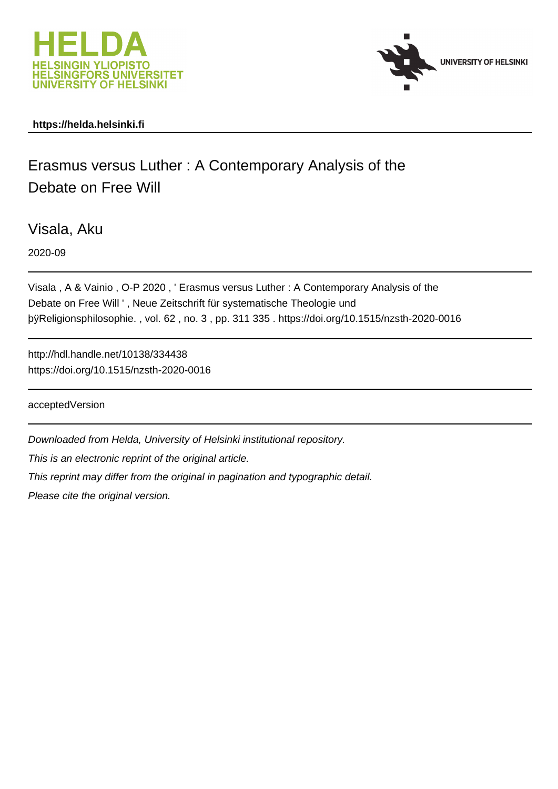



# **https://helda.helsinki.fi**

# Erasmus versus Luther : A Contemporary Analysis of the Debate on Free Will

Visala, Aku

2020-09

Visala , A & Vainio , O-P 2020 , ' Erasmus versus Luther : A Contemporary Analysis of the Debate on Free Will ' , Neue Zeitschrift für systematische Theologie und þÿReligionsphilosophie., vol. 62, no. 3, pp. 311 335. https://doi.org/1

http://hdl.handle.net/10138/334438 https://doi.org/10.1515/nzsth-2020-0016

acceptedVersion

Downloaded from Helda, University of Helsinki institutional repository.

This is an electronic reprint of the original article.

This reprint may differ from the original in pagination and typographic detail.

Please cite the original version.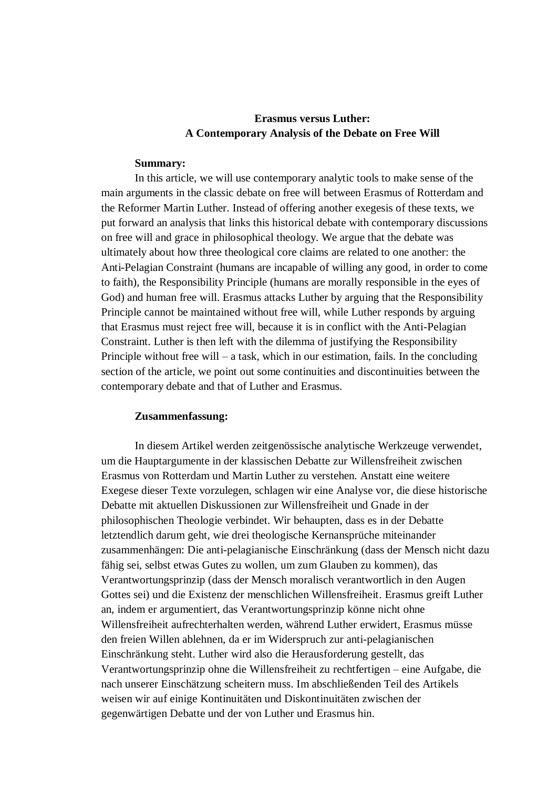# **Erasmus versus Luther: A Contemporary Analysis of the Debate on Free Will**

## **Summary:**

In this article, we will use contemporary analytic tools to make sense of the main arguments in the classic debate on free will between Erasmus of Rotterdam and the Reformer Martin Luther. Instead of offering another exegesis of these texts, we put forward an analysis that links this historical debate with contemporary discussions on free will and grace in philosophical theology. We argue that the debate was ultimately about how three theological core claims are related to one another: the Anti-Pelagian Constraint (humans are incapable of willing any good, in order to come to faith), the Responsibility Principle (humans are morally responsible in the eyes of God) and human free will. Erasmus attacks Luther by arguing that the Responsibility Principle cannot be maintained without free will, while Luther responds by arguing that Erasmus must reject free will, because it is in conflict with the Anti-Pelagian Constraint. Luther is then left with the dilemma of justifying the Responsibility Principle without free will  $-$  a task, which in our estimation, fails. In the concluding section of the article, we point out some continuities and discontinuities between the contemporary debate and that of Luther and Erasmus.

#### **Zusammenfassung:**

In diesem Artikel werden zeitgenössische analytische Werkzeuge verwendet, um die Hauptargumente in der klassischen Debatte zur Willensfreiheit zwischen Erasmus von Rotterdam und Martin Luther zu verstehen. Anstatt eine weitere Exegese dieser Texte vorzulegen, schlagen wir eine Analyse vor, die diese historische Debatte mit aktuellen Diskussionen zur Willensfreiheit und Gnade in der philosophischen Theologie verbindet. Wir behaupten, dass es in der Debatte letztendlich darum geht, wie drei theologische Kernansprüche miteinander zusammenhängen: Die anti-pelagianische Einschränkung (dass der Mensch nicht dazu fähig sei, selbst etwas Gutes zu wollen, um zum Glauben zu kommen), das Verantwortungsprinzip (dass der Mensch moralisch verantwortlich in den Augen Gottes sei) und die Existenz der menschlichen Willensfreiheit. Erasmus greift Luther an, indem er argumentiert, das Verantwortungsprinzip könne nicht ohne Willensfreiheit aufrechterhalten werden, während Luther erwidert, Erasmus müsse den freien Willen ablehnen, da er im Widerspruch zur anti-pelagianischen Einschränkung steht. Luther wird also die Herausforderung gestellt, das Verantwortungsprinzip ohne die Willensfreiheit zu rechtfertigen – eine Aufgabe, die nach unserer Einschätzung scheitern muss. Im abschließenden Teil des Artikels weisen wir auf einige Kontinuitäten und Diskontinuitäten zwischen der gegenwärtigen Debatte und der von Luther und Erasmus hin.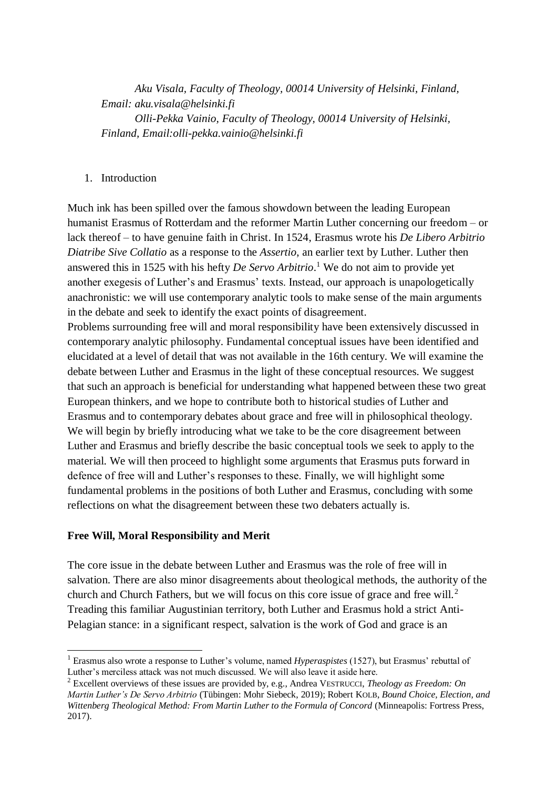*Aku Visala, Faculty of Theology, 00014 University of Helsinki, Finland, Email: aku.visala@helsinki.fi Olli-Pekka Vainio, Faculty of Theology, 00014 University of Helsinki, Finland, Email:olli-pekka.vainio@helsinki.fi*

## 1. Introduction

Much ink has been spilled over the famous showdown between the leading European humanist Erasmus of Rotterdam and the reformer Martin Luther concerning our freedom – or lack thereof – to have genuine faith in Christ. In 1524, Erasmus wrote his *De Libero Arbitrio Diatribe Sive Collatio* as a response to the *Assertio*, an earlier text by Luther. Luther then answered this in 1525 with his hefty *De Servo Arbitrio*. <sup>1</sup> We do not aim to provide yet another exegesis of Luther's and Erasmus' texts. Instead, our approach is unapologetically anachronistic: we will use contemporary analytic tools to make sense of the main arguments in the debate and seek to identify the exact points of disagreement.

Problems surrounding free will and moral responsibility have been extensively discussed in contemporary analytic philosophy. Fundamental conceptual issues have been identified and elucidated at a level of detail that was not available in the 16th century. We will examine the debate between Luther and Erasmus in the light of these conceptual resources. We suggest that such an approach is beneficial for understanding what happened between these two great European thinkers, and we hope to contribute both to historical studies of Luther and Erasmus and to contemporary debates about grace and free will in philosophical theology. We will begin by briefly introducing what we take to be the core disagreement between Luther and Erasmus and briefly describe the basic conceptual tools we seek to apply to the material. We will then proceed to highlight some arguments that Erasmus puts forward in defence of free will and Luther's responses to these. Finally, we will highlight some fundamental problems in the positions of both Luther and Erasmus, concluding with some reflections on what the disagreement between these two debaters actually is.

#### **Free Will, Moral Responsibility and Merit**

-

The core issue in the debate between Luther and Erasmus was the role of free will in salvation. There are also minor disagreements about theological methods, the authority of the church and Church Fathers, but we will focus on this core issue of grace and free will.<sup>2</sup> Treading this familiar Augustinian territory, both Luther and Erasmus hold a strict Anti-Pelagian stance: in a significant respect, salvation is the work of God and grace is an

<sup>1</sup> Erasmus also wrote a response to Luther's volume, named *Hyperaspistes* (1527), but Erasmus' rebuttal of Luther's merciless attack was not much discussed. We will also leave it aside here.

<sup>2</sup> Excellent overviews of these issues are provided by, e.g., Andrea VESTRUCCI, *Theology as Freedom: On Martin Luther's De Servo Arbitrio* (Tübingen: Mohr Siebeck, 2019); Robert KOLB, *Bound Choice, Election, and Wittenberg Theological Method: From Martin Luther to the Formula of Concord* (Minneapolis: Fortress Press, 2017).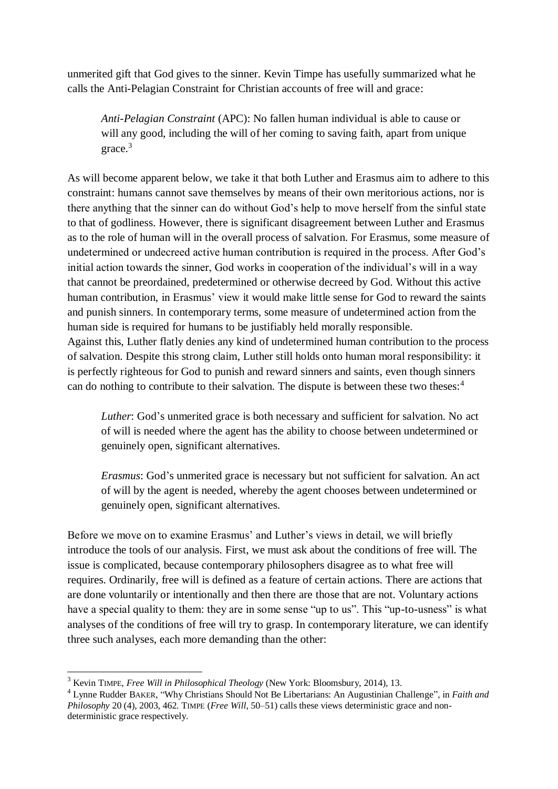unmerited gift that God gives to the sinner. Kevin Timpe has usefully summarized what he calls the Anti-Pelagian Constraint for Christian accounts of free will and grace:

*Anti-Pelagian Constraint* (APC): No fallen human individual is able to cause or will any good, including the will of her coming to saving faith, apart from unique grace.<sup>3</sup>

As will become apparent below, we take it that both Luther and Erasmus aim to adhere to this constraint: humans cannot save themselves by means of their own meritorious actions, nor is there anything that the sinner can do without God's help to move herself from the sinful state to that of godliness. However, there is significant disagreement between Luther and Erasmus as to the role of human will in the overall process of salvation. For Erasmus, some measure of undetermined or undecreed active human contribution is required in the process. After God's initial action towards the sinner, God works in cooperation of the individual's will in a way that cannot be preordained, predetermined or otherwise decreed by God. Without this active human contribution, in Erasmus' view it would make little sense for God to reward the saints and punish sinners. In contemporary terms, some measure of undetermined action from the human side is required for humans to be justifiably held morally responsible. Against this, Luther flatly denies any kind of undetermined human contribution to the process of salvation. Despite this strong claim, Luther still holds onto human moral responsibility: it is perfectly righteous for God to punish and reward sinners and saints, even though sinners can do nothing to contribute to their salvation. The dispute is between these two theses:<sup>4</sup>

*Luther*: God's unmerited grace is both necessary and sufficient for salvation. No act of will is needed where the agent has the ability to choose between undetermined or genuinely open, significant alternatives.

*Erasmus*: God's unmerited grace is necessary but not sufficient for salvation. An act of will by the agent is needed, whereby the agent chooses between undetermined or genuinely open, significant alternatives.

Before we move on to examine Erasmus' and Luther's views in detail, we will briefly introduce the tools of our analysis. First, we must ask about the conditions of free will. The issue is complicated, because contemporary philosophers disagree as to what free will requires. Ordinarily, free will is defined as a feature of certain actions. There are actions that are done voluntarily or intentionally and then there are those that are not. Voluntary actions have a special quality to them: they are in some sense "up to us". This "up-to-usness" is what analyses of the conditions of free will try to grasp. In contemporary literature, we can identify three such analyses, each more demanding than the other:

<sup>3</sup> Kevin TIMPE, *Free Will in Philosophical Theology* (New York: Bloomsbury, 2014), 13.

<sup>4</sup> Lynne Rudder BAKER, "Why Christians Should Not Be Libertarians: An Augustinian Challenge", in *Faith and Philosophy* 20 (4), 2003, 462. TIMPE (*Free Will*, 50–51) calls these views deterministic grace and nondeterministic grace respectively.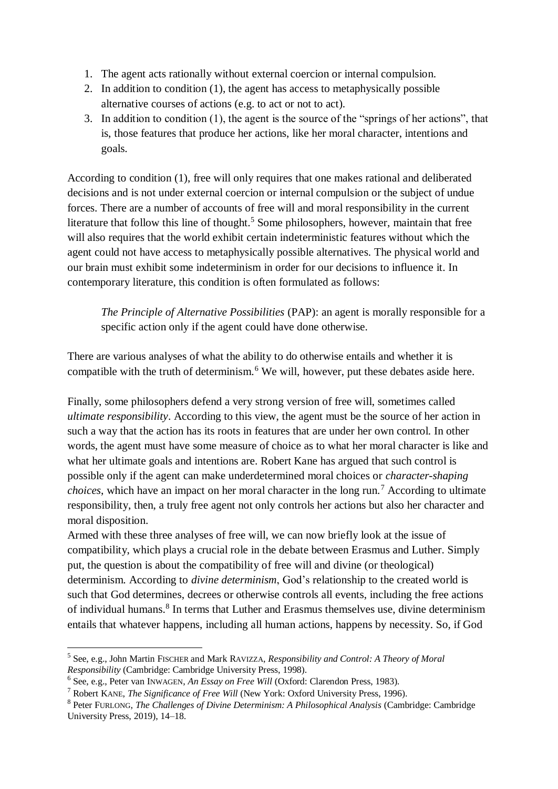- 1. The agent acts rationally without external coercion or internal compulsion.
- 2. In addition to condition (1), the agent has access to metaphysically possible alternative courses of actions (e.g. to act or not to act).
- 3. In addition to condition (1), the agent is the source of the "springs of her actions", that is, those features that produce her actions, like her moral character, intentions and goals.

According to condition (1), free will only requires that one makes rational and deliberated decisions and is not under external coercion or internal compulsion or the subject of undue forces. There are a number of accounts of free will and moral responsibility in the current literature that follow this line of thought.<sup>5</sup> Some philosophers, however, maintain that free will also requires that the world exhibit certain indeterministic features without which the agent could not have access to metaphysically possible alternatives. The physical world and our brain must exhibit some indeterminism in order for our decisions to influence it. In contemporary literature, this condition is often formulated as follows:

*The Principle of Alternative Possibilities* (PAP): an agent is morally responsible for a specific action only if the agent could have done otherwise.

There are various analyses of what the ability to do otherwise entails and whether it is compatible with the truth of determinism.<sup>6</sup> We will, however, put these debates aside here.

Finally, some philosophers defend a very strong version of free will, sometimes called *ultimate responsibility*. According to this view, the agent must be the source of her action in such a way that the action has its roots in features that are under her own control. In other words, the agent must have some measure of choice as to what her moral character is like and what her ultimate goals and intentions are. Robert Kane has argued that such control is possible only if the agent can make underdetermined moral choices or *character-shaping choices*, which have an impact on her moral character in the long run.<sup>7</sup> According to ultimate responsibility, then, a truly free agent not only controls her actions but also her character and moral disposition.

Armed with these three analyses of free will, we can now briefly look at the issue of compatibility, which plays a crucial role in the debate between Erasmus and Luther. Simply put, the question is about the compatibility of free will and divine (or theological) determinism. According to *divine determinism*, God's relationship to the created world is such that God determines, decrees or otherwise controls all events, including the free actions of individual humans.<sup>8</sup> In terms that Luther and Erasmus themselves use, divine determinism entails that whatever happens, including all human actions, happens by necessity. So, if God

 5 See, e.g., John Martin FISCHER and Mark RAVIZZA, *Responsibility and Control: A Theory of Moral Responsibility* (Cambridge: Cambridge University Press, 1998).

<sup>6</sup> See, e.g., Peter van INWAGEN, *An Essay on Free Will* (Oxford: Clarendon Press, 1983).

<sup>7</sup> Robert KANE, *The Significance of Free Will* (New York: Oxford University Press, 1996).

<sup>8</sup> Peter FURLONG, *The Challenges of Divine Determinism: A Philosophical Analysis* (Cambridge: Cambridge University Press, 2019), 14–18.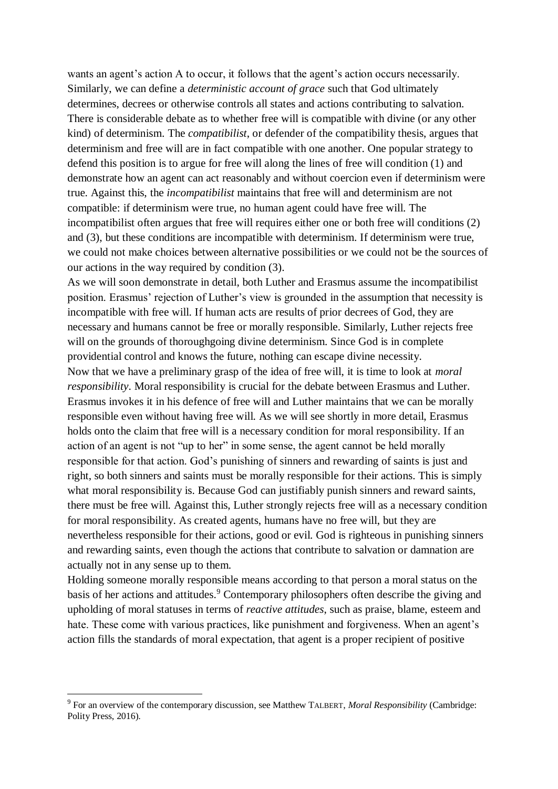wants an agent's action A to occur, it follows that the agent's action occurs necessarily. Similarly, we can define a *deterministic account of grace* such that God ultimately determines, decrees or otherwise controls all states and actions contributing to salvation. There is considerable debate as to whether free will is compatible with divine (or any other kind) of determinism. The *compatibilist*, or defender of the compatibility thesis, argues that determinism and free will are in fact compatible with one another. One popular strategy to defend this position is to argue for free will along the lines of free will condition (1) and demonstrate how an agent can act reasonably and without coercion even if determinism were true. Against this, the *incompatibilist* maintains that free will and determinism are not compatible: if determinism were true, no human agent could have free will. The incompatibilist often argues that free will requires either one or both free will conditions (2) and (3), but these conditions are incompatible with determinism. If determinism were true, we could not make choices between alternative possibilities or we could not be the sources of our actions in the way required by condition (3).

As we will soon demonstrate in detail, both Luther and Erasmus assume the incompatibilist position. Erasmus' rejection of Luther's view is grounded in the assumption that necessity is incompatible with free will. If human acts are results of prior decrees of God, they are necessary and humans cannot be free or morally responsible. Similarly, Luther rejects free will on the grounds of thoroughgoing divine determinism. Since God is in complete providential control and knows the future, nothing can escape divine necessity. Now that we have a preliminary grasp of the idea of free will, it is time to look at *moral responsibility*. Moral responsibility is crucial for the debate between Erasmus and Luther. Erasmus invokes it in his defence of free will and Luther maintains that we can be morally responsible even without having free will. As we will see shortly in more detail, Erasmus holds onto the claim that free will is a necessary condition for moral responsibility. If an action of an agent is not "up to her" in some sense, the agent cannot be held morally responsible for that action. God's punishing of sinners and rewarding of saints is just and right, so both sinners and saints must be morally responsible for their actions. This is simply what moral responsibility is. Because God can justifiably punish sinners and reward saints, there must be free will. Against this, Luther strongly rejects free will as a necessary condition for moral responsibility. As created agents, humans have no free will, but they are nevertheless responsible for their actions, good or evil. God is righteous in punishing sinners and rewarding saints, even though the actions that contribute to salvation or damnation are actually not in any sense up to them.

Holding someone morally responsible means according to that person a moral status on the basis of her actions and attitudes.<sup>9</sup> Contemporary philosophers often describe the giving and upholding of moral statuses in terms of *reactive attitudes*, such as praise, blame, esteem and hate. These come with various practices, like punishment and forgiveness. When an agent's action fills the standards of moral expectation, that agent is a proper recipient of positive

<sup>9</sup> For an overview of the contemporary discussion, see Matthew TALBERT, *Moral Responsibility* (Cambridge: Polity Press, 2016).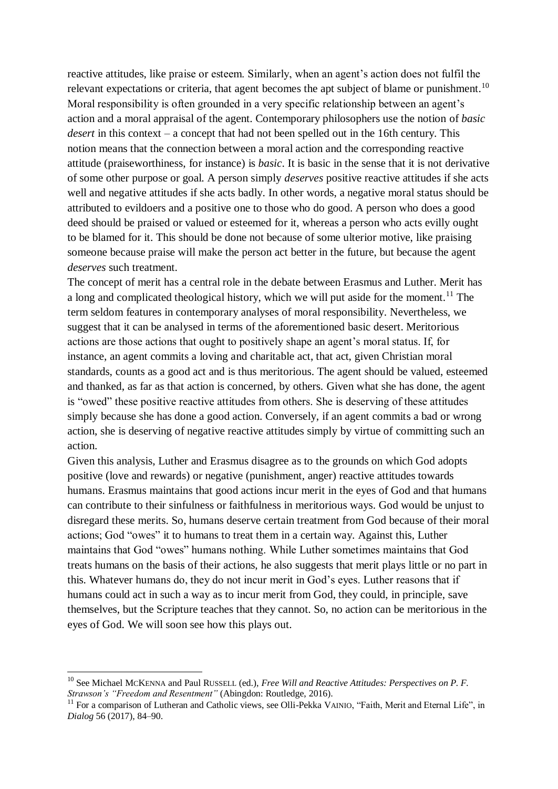reactive attitudes, like praise or esteem. Similarly, when an agent's action does not fulfil the relevant expectations or criteria, that agent becomes the apt subject of blame or punishment.<sup>10</sup> Moral responsibility is often grounded in a very specific relationship between an agent's action and a moral appraisal of the agent. Contemporary philosophers use the notion of *basic desert* in this context – a concept that had not been spelled out in the 16th century. This notion means that the connection between a moral action and the corresponding reactive attitude (praiseworthiness, for instance) is *basic*. It is basic in the sense that it is not derivative of some other purpose or goal. A person simply *deserves* positive reactive attitudes if she acts well and negative attitudes if she acts badly. In other words, a negative moral status should be attributed to evildoers and a positive one to those who do good. A person who does a good deed should be praised or valued or esteemed for it, whereas a person who acts evilly ought to be blamed for it. This should be done not because of some ulterior motive, like praising someone because praise will make the person act better in the future, but because the agent *deserves* such treatment.

The concept of merit has a central role in the debate between Erasmus and Luther. Merit has a long and complicated theological history, which we will put aside for the moment.<sup>11</sup> The term seldom features in contemporary analyses of moral responsibility. Nevertheless, we suggest that it can be analysed in terms of the aforementioned basic desert. Meritorious actions are those actions that ought to positively shape an agent's moral status. If, for instance, an agent commits a loving and charitable act, that act, given Christian moral standards, counts as a good act and is thus meritorious. The agent should be valued, esteemed and thanked, as far as that action is concerned, by others. Given what she has done, the agent is "owed" these positive reactive attitudes from others. She is deserving of these attitudes simply because she has done a good action. Conversely, if an agent commits a bad or wrong action, she is deserving of negative reactive attitudes simply by virtue of committing such an action.

Given this analysis, Luther and Erasmus disagree as to the grounds on which God adopts positive (love and rewards) or negative (punishment, anger) reactive attitudes towards humans. Erasmus maintains that good actions incur merit in the eyes of God and that humans can contribute to their sinfulness or faithfulness in meritorious ways. God would be unjust to disregard these merits. So, humans deserve certain treatment from God because of their moral actions; God "owes" it to humans to treat them in a certain way. Against this, Luther maintains that God "owes" humans nothing. While Luther sometimes maintains that God treats humans on the basis of their actions, he also suggests that merit plays little or no part in this. Whatever humans do, they do not incur merit in God's eyes. Luther reasons that if humans could act in such a way as to incur merit from God, they could, in principle, save themselves, but the Scripture teaches that they cannot. So, no action can be meritorious in the eyes of God. We will soon see how this plays out.

<sup>&</sup>lt;sup>10</sup> See Michael MCKENNA and Paul RUSSELL (ed.), *Free Will and Reactive Attitudes: Perspectives on P. F. Strawson's "Freedom and Resentment"* (Abingdon: Routledge, 2016).

<sup>&</sup>lt;sup>11</sup> For a comparison of Lutheran and Catholic views, see Olli-Pekka VAINIO, "Faith, Merit and Eternal Life", in *Dialog* 56 (2017), 84–90.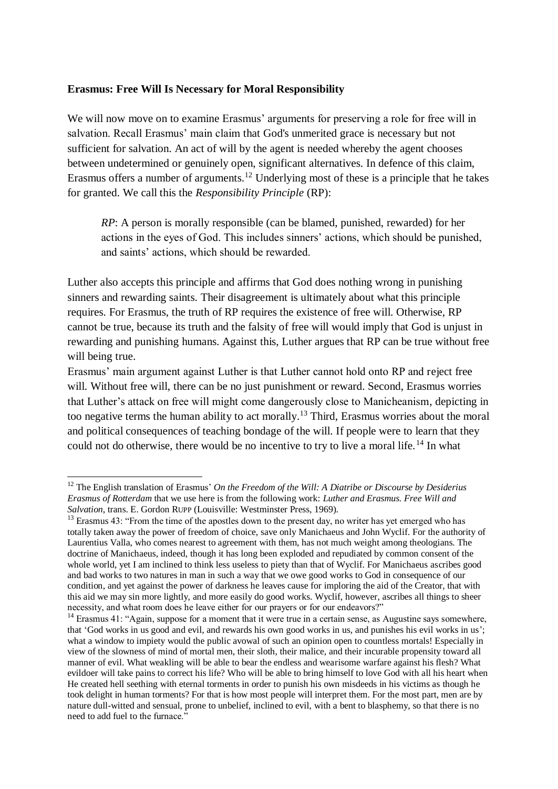## **Erasmus: Free Will Is Necessary for Moral Responsibility**

We will now move on to examine Erasmus' arguments for preserving a role for free will in salvation. Recall Erasmus' main claim that God's unmerited grace is necessary but not sufficient for salvation. An act of will by the agent is needed whereby the agent chooses between undetermined or genuinely open, significant alternatives. In defence of this claim, Erasmus offers a number of arguments.<sup>12</sup> Underlying most of these is a principle that he takes for granted. We call this the *Responsibility Principle* (RP):

*RP*: A person is morally responsible (can be blamed, punished, rewarded) for her actions in the eyes of God. This includes sinners' actions, which should be punished, and saints' actions, which should be rewarded.

Luther also accepts this principle and affirms that God does nothing wrong in punishing sinners and rewarding saints. Their disagreement is ultimately about what this principle requires. For Erasmus, the truth of RP requires the existence of free will. Otherwise, RP cannot be true, because its truth and the falsity of free will would imply that God is unjust in rewarding and punishing humans. Against this, Luther argues that RP can be true without free will being true.

Erasmus' main argument against Luther is that Luther cannot hold onto RP and reject free will. Without free will, there can be no just punishment or reward. Second, Erasmus worries that Luther's attack on free will might come dangerously close to Manicheanism, depicting in too negative terms the human ability to act morally.<sup>13</sup> Third, Erasmus worries about the moral and political consequences of teaching bondage of the will. If people were to learn that they could not do otherwise, there would be no incentive to try to live a moral life.<sup>14</sup> In what

<sup>12</sup> The English translation of Erasmus' *On the Freedom of the Will: A Diatribe or Discourse by Desiderius Erasmus of Rotterdam* that we use here is from the following work: *Luther and Erasmus. Free Will and Salvation*, trans. E. Gordon RUPP (Louisville: Westminster Press, 1969).

<sup>&</sup>lt;sup>13</sup> Erasmus 43: "From the time of the apostles down to the present day, no writer has yet emerged who has totally taken away the power of freedom of choice, save only Manichaeus and John Wyclif. For the authority of Laurentius Valla, who comes nearest to agreement with them, has not much weight among theologians. The doctrine of Manichaeus, indeed, though it has long been exploded and repudiated by common consent of the whole world, yet I am inclined to think less useless to piety than that of Wyclif. For Manichaeus ascribes good and bad works to two natures in man in such a way that we owe good works to God in consequence of our condition, and yet against the power of darkness he leaves cause for imploring the aid of the Creator, that with this aid we may sin more lightly, and more easily do good works. Wyclif, however, ascribes all things to sheer necessity, and what room does he leave either for our prayers or for our endeavors?"

 $14$  Erasmus 41: "Again, suppose for a moment that it were true in a certain sense, as Augustine says somewhere, that 'God works in us good and evil, and rewards his own good works in us, and punishes his evil works in us'; what a window to impiety would the public avowal of such an opinion open to countless mortals! Especially in view of the slowness of mind of mortal men, their sloth, their malice, and their incurable propensity toward all manner of evil. What weakling will be able to bear the endless and wearisome warfare against his flesh? What evildoer will take pains to correct his life? Who will be able to bring himself to love God with all his heart when He created hell seething with eternal torments in order to punish his own misdeeds in his victims as though he took delight in human torments? For that is how most people will interpret them. For the most part, men are by nature dull-witted and sensual, prone to unbelief, inclined to evil, with a bent to blasphemy, so that there is no need to add fuel to the furnace."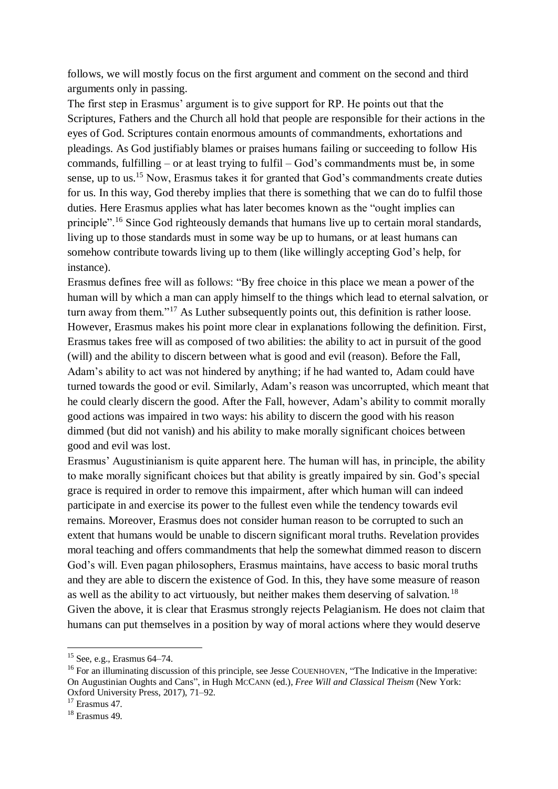follows, we will mostly focus on the first argument and comment on the second and third arguments only in passing.

The first step in Erasmus' argument is to give support for RP. He points out that the Scriptures, Fathers and the Church all hold that people are responsible for their actions in the eyes of God. Scriptures contain enormous amounts of commandments, exhortations and pleadings. As God justifiably blames or praises humans failing or succeeding to follow His commands, fulfilling – or at least trying to fulfil – God's commandments must be, in some sense, up to us.<sup>15</sup> Now, Erasmus takes it for granted that God's commandments create duties for us. In this way, God thereby implies that there is something that we can do to fulfil those duties. Here Erasmus applies what has later becomes known as the "ought implies can principle".<sup>16</sup> Since God righteously demands that humans live up to certain moral standards, living up to those standards must in some way be up to humans, or at least humans can somehow contribute towards living up to them (like willingly accepting God's help, for instance).

Erasmus defines free will as follows: "By free choice in this place we mean a power of the human will by which a man can apply himself to the things which lead to eternal salvation, or turn away from them."<sup>17</sup> As Luther subsequently points out, this definition is rather loose. However, Erasmus makes his point more clear in explanations following the definition. First, Erasmus takes free will as composed of two abilities: the ability to act in pursuit of the good (will) and the ability to discern between what is good and evil (reason). Before the Fall, Adam's ability to act was not hindered by anything; if he had wanted to, Adam could have turned towards the good or evil. Similarly, Adam's reason was uncorrupted, which meant that he could clearly discern the good. After the Fall, however, Adam's ability to commit morally good actions was impaired in two ways: his ability to discern the good with his reason dimmed (but did not vanish) and his ability to make morally significant choices between good and evil was lost.

Erasmus' Augustinianism is quite apparent here. The human will has, in principle, the ability to make morally significant choices but that ability is greatly impaired by sin. God's special grace is required in order to remove this impairment, after which human will can indeed participate in and exercise its power to the fullest even while the tendency towards evil remains. Moreover, Erasmus does not consider human reason to be corrupted to such an extent that humans would be unable to discern significant moral truths. Revelation provides moral teaching and offers commandments that help the somewhat dimmed reason to discern God's will. Even pagan philosophers, Erasmus maintains, have access to basic moral truths and they are able to discern the existence of God. In this, they have some measure of reason as well as the ability to act virtuously, but neither makes them deserving of salvation.<sup>18</sup> Given the above, it is clear that Erasmus strongly rejects Pelagianism. He does not claim that humans can put themselves in a position by way of moral actions where they would deserve

<sup>15</sup> See, e.g., Erasmus 64–74.

<sup>&</sup>lt;sup>16</sup> For an illuminating discussion of this principle, see Jesse COUENHOVEN, "The Indicative in the Imperative: On Augustinian Oughts and Cans", in Hugh MCCANN (ed.), *Free Will and Classical Theism* (New York: Oxford University Press, 2017), 71–92.

 $17$  Erasmus 47.

<sup>18</sup> Erasmus 49.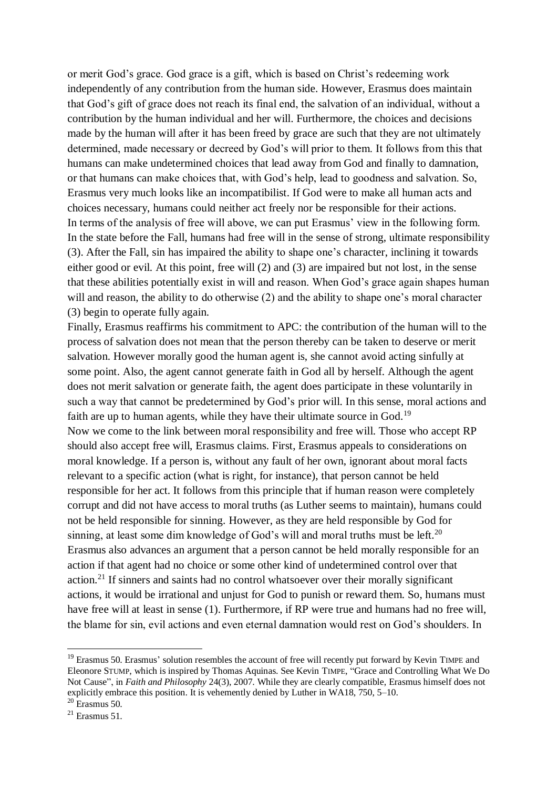or merit God's grace. God grace is a gift, which is based on Christ's redeeming work independently of any contribution from the human side. However, Erasmus does maintain that God's gift of grace does not reach its final end, the salvation of an individual, without a contribution by the human individual and her will. Furthermore, the choices and decisions made by the human will after it has been freed by grace are such that they are not ultimately determined, made necessary or decreed by God's will prior to them. It follows from this that humans can make undetermined choices that lead away from God and finally to damnation, or that humans can make choices that, with God's help, lead to goodness and salvation. So, Erasmus very much looks like an incompatibilist. If God were to make all human acts and choices necessary, humans could neither act freely nor be responsible for their actions. In terms of the analysis of free will above, we can put Erasmus' view in the following form. In the state before the Fall, humans had free will in the sense of strong, ultimate responsibility (3). After the Fall, sin has impaired the ability to shape one's character, inclining it towards either good or evil. At this point, free will (2) and (3) are impaired but not lost, in the sense that these abilities potentially exist in will and reason. When God's grace again shapes human will and reason, the ability to do otherwise (2) and the ability to shape one's moral character (3) begin to operate fully again.

Finally, Erasmus reaffirms his commitment to APC: the contribution of the human will to the process of salvation does not mean that the person thereby can be taken to deserve or merit salvation. However morally good the human agent is, she cannot avoid acting sinfully at some point. Also, the agent cannot generate faith in God all by herself. Although the agent does not merit salvation or generate faith, the agent does participate in these voluntarily in such a way that cannot be predetermined by God's prior will. In this sense, moral actions and faith are up to human agents, while they have their ultimate source in God.<sup>19</sup> Now we come to the link between moral responsibility and free will. Those who accept RP should also accept free will, Erasmus claims. First, Erasmus appeals to considerations on moral knowledge. If a person is, without any fault of her own, ignorant about moral facts relevant to a specific action (what is right, for instance), that person cannot be held responsible for her act. It follows from this principle that if human reason were completely corrupt and did not have access to moral truths (as Luther seems to maintain), humans could not be held responsible for sinning. However, as they are held responsible by God for sinning, at least some dim knowledge of God's will and moral truths must be left.<sup>20</sup> Erasmus also advances an argument that a person cannot be held morally responsible for an action if that agent had no choice or some other kind of undetermined control over that action.<sup>21</sup> If sinners and saints had no control whatsoever over their morally significant actions, it would be irrational and unjust for God to punish or reward them. So, humans must have free will at least in sense (1). Furthermore, if RP were true and humans had no free will, the blame for sin, evil actions and even eternal damnation would rest on God's shoulders. In

<sup>&</sup>lt;sup>19</sup> Erasmus 50. Erasmus' solution resembles the account of free will recently put forward by Kevin TIMPE and Eleonore STUMP, which is inspired by Thomas Aquinas. See Kevin TIMPE, "Grace and Controlling What We Do Not Cause", in *Faith and Philosophy* 24(3), 2007. While they are clearly compatible, Erasmus himself does not explicitly embrace this position. It is vehemently denied by Luther in WA18, 750, 5–10.

 $20$  Erasmus 50.

 $21$  Erasmus 51.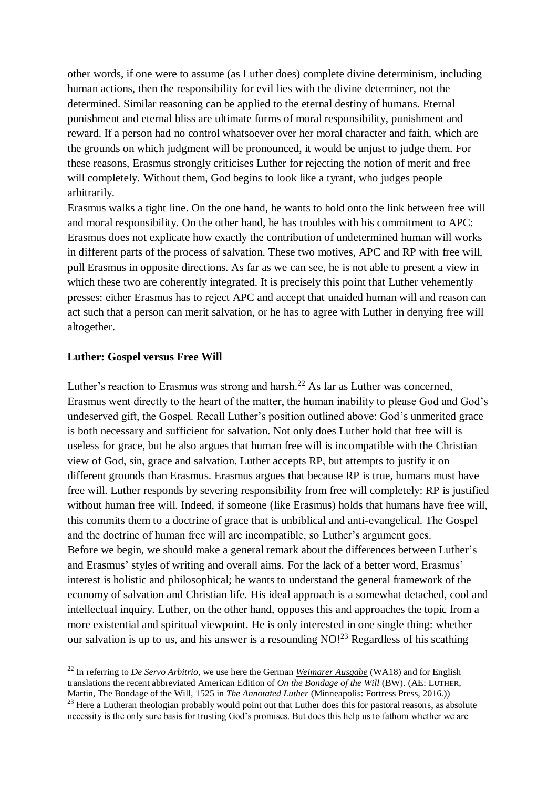other words, if one were to assume (as Luther does) complete divine determinism, including human actions, then the responsibility for evil lies with the divine determiner, not the determined. Similar reasoning can be applied to the eternal destiny of humans. Eternal punishment and eternal bliss are ultimate forms of moral responsibility, punishment and reward. If a person had no control whatsoever over her moral character and faith, which are the grounds on which judgment will be pronounced, it would be unjust to judge them. For these reasons, Erasmus strongly criticises Luther for rejecting the notion of merit and free will completely. Without them, God begins to look like a tyrant, who judges people arbitrarily.

Erasmus walks a tight line. On the one hand, he wants to hold onto the link between free will and moral responsibility. On the other hand, he has troubles with his commitment to APC: Erasmus does not explicate how exactly the contribution of undetermined human will works in different parts of the process of salvation. These two motives, APC and RP with free will, pull Erasmus in opposite directions. As far as we can see, he is not able to present a view in which these two are coherently integrated. It is precisely this point that Luther vehemently presses: either Erasmus has to reject APC and accept that unaided human will and reason can act such that a person can merit salvation, or he has to agree with Luther in denying free will altogether.

# **Luther: Gospel versus Free Will**

-

Luther's reaction to Erasmus was strong and harsh.<sup>22</sup> As far as Luther was concerned, Erasmus went directly to the heart of the matter, the human inability to please God and God's undeserved gift, the Gospel. Recall Luther's position outlined above: God's unmerited grace is both necessary and sufficient for salvation. Not only does Luther hold that free will is useless for grace, but he also argues that human free will is incompatible with the Christian view of God, sin, grace and salvation. Luther accepts RP, but attempts to justify it on different grounds than Erasmus. Erasmus argues that because RP is true, humans must have free will. Luther responds by severing responsibility from free will completely: RP is justified without human free will. Indeed, if someone (like Erasmus) holds that humans have free will, this commits them to a doctrine of grace that is unbiblical and anti-evangelical. The Gospel and the doctrine of human free will are incompatible, so Luther's argument goes. Before we begin, we should make a general remark about the differences between Luther's and Erasmus' styles of writing and overall aims. For the lack of a better word, Erasmus' interest is holistic and philosophical; he wants to understand the general framework of the economy of salvation and Christian life. His ideal approach is a somewhat detached, cool and intellectual inquiry. Luther, on the other hand, opposes this and approaches the topic from a more existential and spiritual viewpoint. He is only interested in one single thing: whether our salvation is up to us, and his answer is a resounding  $NO$ <sup>23</sup> Regardless of his scathing

<sup>22</sup> In referring to *De Servo Arbitrio*, we use here the German *Weimarer Ausgabe* (WA18) and for English translations the recent abbreviated American Edition of *On the Bondage of the Will* (BW). (AE: LUTHER, Martin, The Bondage of the Will, 1525 in *The Annotated Luther* (Minneapolis: Fortress Press, 2016.))

<sup>&</sup>lt;sup>23</sup> Here a Lutheran theologian probably would point out that Luther does this for pastoral reasons, as absolute necessity is the only sure basis for trusting God's promises. But does this help us to fathom whether we are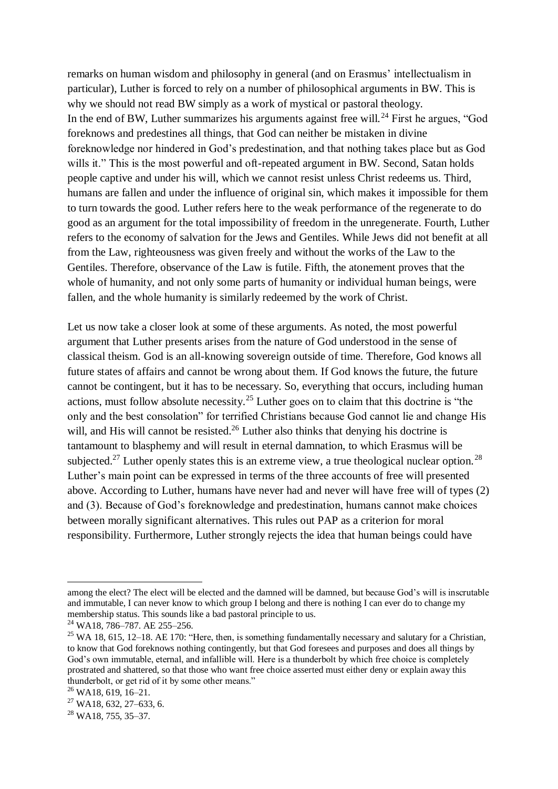remarks on human wisdom and philosophy in general (and on Erasmus' intellectualism in particular), Luther is forced to rely on a number of philosophical arguments in BW. This is why we should not read BW simply as a work of mystical or pastoral theology. In the end of BW, Luther summarizes his arguments against free will.<sup>24</sup> First he argues, "God foreknows and predestines all things, that God can neither be mistaken in divine foreknowledge nor hindered in God's predestination, and that nothing takes place but as God wills it." This is the most powerful and oft-repeated argument in BW. Second, Satan holds people captive and under his will, which we cannot resist unless Christ redeems us. Third, humans are fallen and under the influence of original sin, which makes it impossible for them to turn towards the good. Luther refers here to the weak performance of the regenerate to do good as an argument for the total impossibility of freedom in the unregenerate. Fourth, Luther refers to the economy of salvation for the Jews and Gentiles. While Jews did not benefit at all from the Law, righteousness was given freely and without the works of the Law to the Gentiles. Therefore, observance of the Law is futile. Fifth, the atonement proves that the whole of humanity, and not only some parts of humanity or individual human beings, were fallen, and the whole humanity is similarly redeemed by the work of Christ.

Let us now take a closer look at some of these arguments. As noted, the most powerful argument that Luther presents arises from the nature of God understood in the sense of classical theism. God is an all-knowing sovereign outside of time. Therefore, God knows all future states of affairs and cannot be wrong about them. If God knows the future, the future cannot be contingent, but it has to be necessary. So, everything that occurs, including human actions, must follow absolute necessity.<sup>25</sup> Luther goes on to claim that this doctrine is "the only and the best consolation" for terrified Christians because God cannot lie and change His will, and His will cannot be resisted.<sup>26</sup> Luther also thinks that denying his doctrine is tantamount to blasphemy and will result in eternal damnation, to which Erasmus will be subjected.<sup>27</sup> Luther openly states this is an extreme view, a true theological nuclear option.<sup>28</sup> Luther's main point can be expressed in terms of the three accounts of free will presented above. According to Luther, humans have never had and never will have free will of types (2) and (3). Because of God's foreknowledge and predestination, humans cannot make choices between morally significant alternatives. This rules out PAP as a criterion for moral responsibility. Furthermore, Luther strongly rejects the idea that human beings could have

among the elect? The elect will be elected and the damned will be damned, but because God's will is inscrutable and immutable, I can never know to which group I belong and there is nothing I can ever do to change my membership status. This sounds like a bad pastoral principle to us.

<sup>24</sup> WA18, 786–787. AE 255–256.

 $25$  WA 18, 615, 12–18. AE 170: "Here, then, is something fundamentally necessary and salutary for a Christian, to know that God foreknows nothing contingently, but that God foresees and purposes and does all things by God's own immutable, eternal, and infallible will. Here is a thunderbolt by which free choice is completely prostrated and shattered, so that those who want free choice asserted must either deny or explain away this thunderbolt, or get rid of it by some other means."

<sup>26</sup> WA18, 619, 16–21.

 $27$  WA18, 632, 27–633, 6.

 $^{28}$  WA18, 755, 35–37.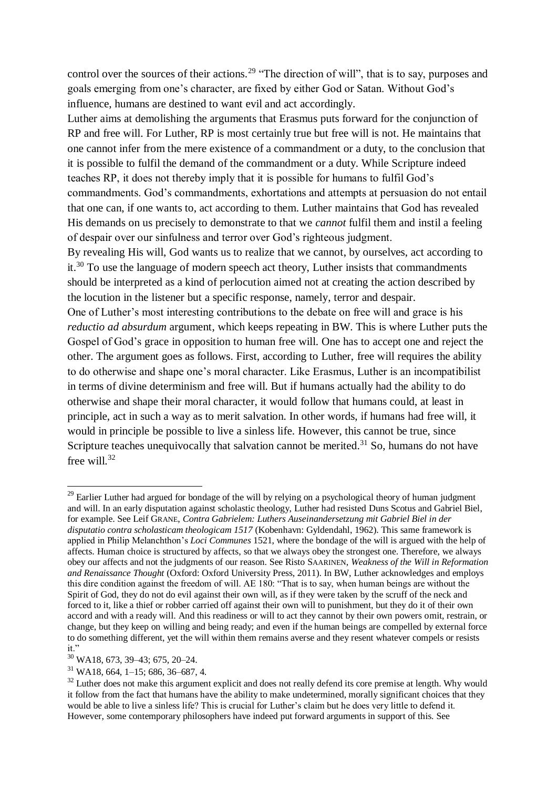control over the sources of their actions.<sup>29</sup> "The direction of will", that is to say, purposes and goals emerging from one's character, are fixed by either God or Satan. Without God's influence, humans are destined to want evil and act accordingly.

Luther aims at demolishing the arguments that Erasmus puts forward for the conjunction of RP and free will. For Luther, RP is most certainly true but free will is not. He maintains that one cannot infer from the mere existence of a commandment or a duty, to the conclusion that it is possible to fulfil the demand of the commandment or a duty. While Scripture indeed teaches RP, it does not thereby imply that it is possible for humans to fulfil God's commandments. God's commandments, exhortations and attempts at persuasion do not entail that one can, if one wants to, act according to them. Luther maintains that God has revealed His demands on us precisely to demonstrate to that we *cannot* fulfil them and instil a feeling of despair over our sinfulness and terror over God's righteous judgment.

By revealing His will, God wants us to realize that we cannot, by ourselves, act according to it.<sup>30</sup> To use the language of modern speech act theory, Luther insists that commandments should be interpreted as a kind of perlocution aimed not at creating the action described by the locution in the listener but a specific response, namely, terror and despair.

One of Luther's most interesting contributions to the debate on free will and grace is his *reductio ad absurdum* argument, which keeps repeating in BW. This is where Luther puts the Gospel of God's grace in opposition to human free will. One has to accept one and reject the other. The argument goes as follows. First, according to Luther, free will requires the ability to do otherwise and shape one's moral character. Like Erasmus, Luther is an incompatibilist in terms of divine determinism and free will. But if humans actually had the ability to do otherwise and shape their moral character, it would follow that humans could, at least in principle, act in such a way as to merit salvation. In other words, if humans had free will, it would in principle be possible to live a sinless life. However, this cannot be true, since Scripture teaches unequivocally that salvation cannot be merited.<sup>31</sup> So, humans do not have free will. $32$ 

<sup>&</sup>lt;sup>29</sup> Earlier Luther had argued for bondage of the will by relying on a psychological theory of human judgment and will. In an early disputation against scholastic theology, Luther had resisted Duns Scotus and Gabriel Biel, for example. See Leif GRANE, *Contra Gabrielem: Luthers Auseinandersetzung mit Gabriel Biel in der disputatio contra scholasticam theologicam 1517* (Kobenhavn: Gyldendahl, 1962). This same framework is applied in Philip Melanchthon's *Loci Communes* 1521, where the bondage of the will is argued with the help of affects. Human choice is structured by affects, so that we always obey the strongest one. Therefore, we always obey our affects and not the judgments of our reason. See Risto SAARINEN, *Weakness of the Will in Reformation and Renaissance Thought* (Oxford: Oxford University Press, 2011). In BW, Luther acknowledges and employs this dire condition against the freedom of will. AE 180: "That is to say, when human beings are without the Spirit of God, they do not do evil against their own will, as if they were taken by the scruff of the neck and forced to it, like a thief or robber carried off against their own will to punishment, but they do it of their own accord and with a ready will. And this readiness or will to act they cannot by their own powers omit, restrain, or change, but they keep on willing and being ready; and even if the human beings are compelled by external force to do something different, yet the will within them remains averse and they resent whatever compels or resists it."

<sup>30</sup> WA18, 673, 39–43; 675, 20–24.

 $31$  WA18, 664, 1-15; 686, 36-687, 4.

<sup>&</sup>lt;sup>32</sup> Luther does not make this argument explicit and does not really defend its core premise at length. Why would it follow from the fact that humans have the ability to make undetermined, morally significant choices that they would be able to live a sinless life? This is crucial for Luther's claim but he does very little to defend it. However, some contemporary philosophers have indeed put forward arguments in support of this. See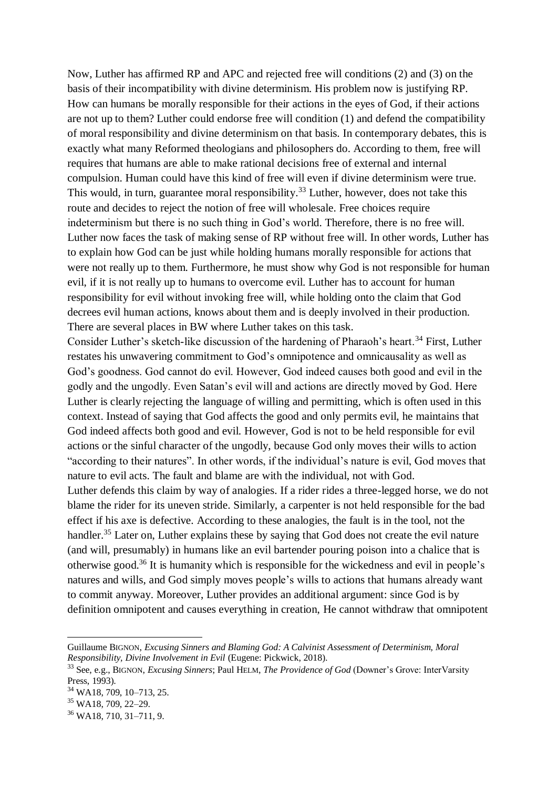Now, Luther has affirmed RP and APC and rejected free will conditions (2) and (3) on the basis of their incompatibility with divine determinism. His problem now is justifying RP. How can humans be morally responsible for their actions in the eyes of God, if their actions are not up to them? Luther could endorse free will condition (1) and defend the compatibility of moral responsibility and divine determinism on that basis. In contemporary debates, this is exactly what many Reformed theologians and philosophers do. According to them, free will requires that humans are able to make rational decisions free of external and internal compulsion. Human could have this kind of free will even if divine determinism were true. This would, in turn, guarantee moral responsibility.<sup>33</sup> Luther, however, does not take this route and decides to reject the notion of free will wholesale. Free choices require indeterminism but there is no such thing in God's world. Therefore, there is no free will. Luther now faces the task of making sense of RP without free will. In other words, Luther has to explain how God can be just while holding humans morally responsible for actions that were not really up to them. Furthermore, he must show why God is not responsible for human evil, if it is not really up to humans to overcome evil. Luther has to account for human responsibility for evil without invoking free will, while holding onto the claim that God decrees evil human actions, knows about them and is deeply involved in their production. There are several places in BW where Luther takes on this task.

Consider Luther's sketch-like discussion of the hardening of Pharaoh's heart.<sup>34</sup> First, Luther restates his unwavering commitment to God's omnipotence and omnicausality as well as God's goodness. God cannot do evil. However, God indeed causes both good and evil in the godly and the ungodly. Even Satan's evil will and actions are directly moved by God. Here Luther is clearly rejecting the language of willing and permitting, which is often used in this context. Instead of saying that God affects the good and only permits evil, he maintains that God indeed affects both good and evil. However, God is not to be held responsible for evil actions or the sinful character of the ungodly, because God only moves their wills to action "according to their natures". In other words, if the individual's nature is evil, God moves that nature to evil acts. The fault and blame are with the individual, not with God. Luther defends this claim by way of analogies. If a rider rides a three-legged horse, we do not

blame the rider for its uneven stride. Similarly, a carpenter is not held responsible for the bad effect if his axe is defective. According to these analogies, the fault is in the tool, not the handler.<sup>35</sup> Later on, Luther explains these by saying that God does not create the evil nature (and will, presumably) in humans like an evil bartender pouring poison into a chalice that is otherwise good.<sup>36</sup> It is humanity which is responsible for the wickedness and evil in people's natures and wills, and God simply moves people's wills to actions that humans already want to commit anyway. Moreover, Luther provides an additional argument: since God is by definition omnipotent and causes everything in creation, He cannot withdraw that omnipotent

Guillaume BIGNON, *Excusing Sinners and Blaming God: A Calvinist Assessment of Determinism, Moral Responsibility, Divine Involvement in Evil* (Eugene: Pickwick, 2018).

<sup>33</sup> See, e.g., BIGNON, *Excusing Sinners*; Paul HELM, *The Providence of God* (Downer's Grove: InterVarsity Press, 1993).

<sup>34</sup> WA18, 709, 10–713, 25.

<sup>35</sup> WA18, 709, 22–29.

 $36$  WA18, 710, 31–711, 9.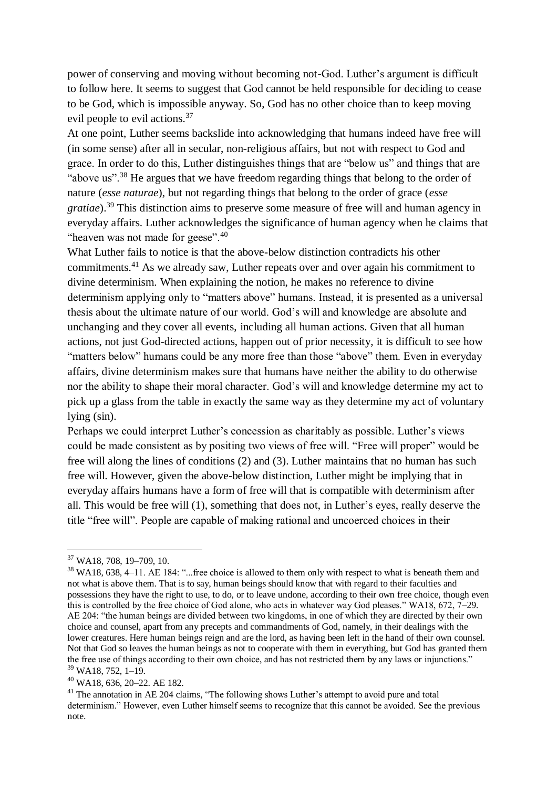power of conserving and moving without becoming not-God. Luther's argument is difficult to follow here. It seems to suggest that God cannot be held responsible for deciding to cease to be God, which is impossible anyway. So, God has no other choice than to keep moving evil people to evil actions.<sup>37</sup>

At one point, Luther seems backslide into acknowledging that humans indeed have free will (in some sense) after all in secular, non-religious affairs, but not with respect to God and grace. In order to do this, Luther distinguishes things that are "below us" and things that are "above us"<sup>38</sup>. He argues that we have freedom regarding things that belong to the order of nature (*esse naturae*), but not regarding things that belong to the order of grace (*esse gratiae*).<sup>39</sup> This distinction aims to preserve some measure of free will and human agency in everyday affairs. Luther acknowledges the significance of human agency when he claims that "heaven was not made for geese".<sup>40</sup>

What Luther fails to notice is that the above-below distinction contradicts his other commitments.<sup>41</sup> As we already saw, Luther repeats over and over again his commitment to divine determinism. When explaining the notion, he makes no reference to divine determinism applying only to "matters above" humans. Instead, it is presented as a universal thesis about the ultimate nature of our world. God's will and knowledge are absolute and unchanging and they cover all events, including all human actions. Given that all human actions, not just God-directed actions, happen out of prior necessity, it is difficult to see how "matters below" humans could be any more free than those "above" them. Even in everyday affairs, divine determinism makes sure that humans have neither the ability to do otherwise nor the ability to shape their moral character. God's will and knowledge determine my act to pick up a glass from the table in exactly the same way as they determine my act of voluntary lying (sin).

Perhaps we could interpret Luther's concession as charitably as possible. Luther's views could be made consistent as by positing two views of free will. "Free will proper" would be free will along the lines of conditions (2) and (3). Luther maintains that no human has such free will. However, given the above-below distinction, Luther might be implying that in everyday affairs humans have a form of free will that is compatible with determinism after all. This would be free will (1), something that does not, in Luther's eyes, really deserve the title "free will". People are capable of making rational and uncoerced choices in their

<sup>37</sup> WA18, 708, 19–709, 10.

<sup>&</sup>lt;sup>38</sup> WA18, 638, 4–11. AE 184: "...free choice is allowed to them only with respect to what is beneath them and not what is above them. That is to say, human beings should know that with regard to their faculties and possessions they have the right to use, to do, or to leave undone, according to their own free choice, though even this is controlled by the free choice of God alone, who acts in whatever way God pleases." WA18, 672, 7–29. AE 204: "the human beings are divided between two kingdoms, in one of which they are directed by their own choice and counsel, apart from any precepts and commandments of God, namely, in their dealings with the lower creatures. Here human beings reign and are the lord, as having been left in the hand of their own counsel. Not that God so leaves the human beings as not to cooperate with them in everything, but God has granted them the free use of things according to their own choice, and has not restricted them by any laws or injunctions." <sup>39</sup> WA18, 752, 1–19.

<sup>40</sup> WA18, 636, 20–22. AE 182.

<sup>&</sup>lt;sup>41</sup> The annotation in AE 204 claims, "The following shows Luther's attempt to avoid pure and total determinism." However, even Luther himself seems to recognize that this cannot be avoided. See the previous note.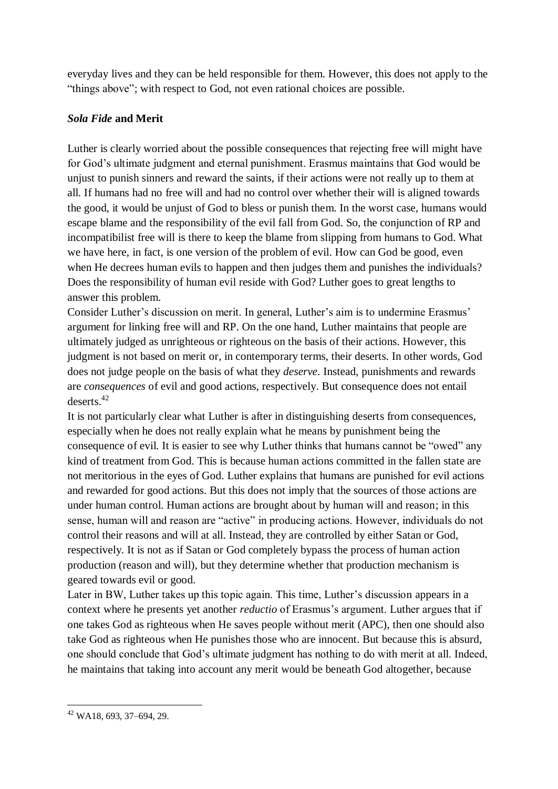everyday lives and they can be held responsible for them. However, this does not apply to the "things above"; with respect to God, not even rational choices are possible.

# *Sola Fide* **and Merit**

Luther is clearly worried about the possible consequences that rejecting free will might have for God's ultimate judgment and eternal punishment. Erasmus maintains that God would be unjust to punish sinners and reward the saints, if their actions were not really up to them at all. If humans had no free will and had no control over whether their will is aligned towards the good, it would be unjust of God to bless or punish them. In the worst case, humans would escape blame and the responsibility of the evil fall from God. So, the conjunction of RP and incompatibilist free will is there to keep the blame from slipping from humans to God. What we have here, in fact, is one version of the problem of evil. How can God be good, even when He decrees human evils to happen and then judges them and punishes the individuals? Does the responsibility of human evil reside with God? Luther goes to great lengths to answer this problem.

Consider Luther's discussion on merit. In general, Luther's aim is to undermine Erasmus' argument for linking free will and RP. On the one hand, Luther maintains that people are ultimately judged as unrighteous or righteous on the basis of their actions. However, this judgment is not based on merit or, in contemporary terms, their deserts. In other words, God does not judge people on the basis of what they *deserve*. Instead, punishments and rewards are *consequences* of evil and good actions, respectively. But consequence does not entail deserts. 42

It is not particularly clear what Luther is after in distinguishing deserts from consequences, especially when he does not really explain what he means by punishment being the consequence of evil. It is easier to see why Luther thinks that humans cannot be "owed" any kind of treatment from God. This is because human actions committed in the fallen state are not meritorious in the eyes of God. Luther explains that humans are punished for evil actions and rewarded for good actions. But this does not imply that the sources of those actions are under human control. Human actions are brought about by human will and reason; in this sense, human will and reason are "active" in producing actions. However, individuals do not control their reasons and will at all. Instead, they are controlled by either Satan or God, respectively. It is not as if Satan or God completely bypass the process of human action production (reason and will), but they determine whether that production mechanism is geared towards evil or good.

Later in BW, Luther takes up this topic again. This time, Luther's discussion appears in a context where he presents yet another *reductio* of Erasmus's argument. Luther argues that if one takes God as righteous when He saves people without merit (APC), then one should also take God as righteous when He punishes those who are innocent. But because this is absurd, one should conclude that God's ultimate judgment has nothing to do with merit at all. Indeed, he maintains that taking into account any merit would be beneath God altogether, because

<sup>42</sup> WA18, 693, 37–694, 29.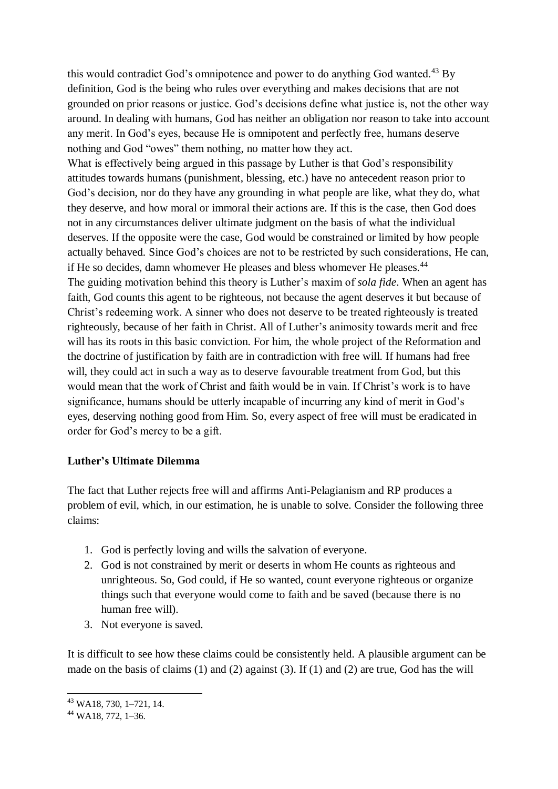this would contradict God's omnipotence and power to do anything God wanted.<sup>43</sup> By definition, God is the being who rules over everything and makes decisions that are not grounded on prior reasons or justice. God's decisions define what justice is, not the other way around. In dealing with humans, God has neither an obligation nor reason to take into account any merit. In God's eyes, because He is omnipotent and perfectly free, humans deserve nothing and God "owes" them nothing, no matter how they act.

What is effectively being argued in this passage by Luther is that God's responsibility attitudes towards humans (punishment, blessing, etc.) have no antecedent reason prior to God's decision, nor do they have any grounding in what people are like, what they do, what they deserve, and how moral or immoral their actions are. If this is the case, then God does not in any circumstances deliver ultimate judgment on the basis of what the individual deserves. If the opposite were the case, God would be constrained or limited by how people actually behaved. Since God's choices are not to be restricted by such considerations, He can, if He so decides, damn whomever He pleases and bless whomever He pleases.<sup>44</sup> The guiding motivation behind this theory is Luther's maxim of *sola fide*. When an agent has faith, God counts this agent to be righteous, not because the agent deserves it but because of Christ's redeeming work. A sinner who does not deserve to be treated righteously is treated righteously, because of her faith in Christ. All of Luther's animosity towards merit and free will has its roots in this basic conviction. For him, the whole project of the Reformation and the doctrine of justification by faith are in contradiction with free will. If humans had free will, they could act in such a way as to deserve favourable treatment from God, but this would mean that the work of Christ and faith would be in vain. If Christ's work is to have significance, humans should be utterly incapable of incurring any kind of merit in God's eyes, deserving nothing good from Him. So, every aspect of free will must be eradicated in order for God's mercy to be a gift.

# **Luther's Ultimate Dilemma**

The fact that Luther rejects free will and affirms Anti-Pelagianism and RP produces a problem of evil, which, in our estimation, he is unable to solve. Consider the following three claims:

- 1. God is perfectly loving and wills the salvation of everyone.
- 2. God is not constrained by merit or deserts in whom He counts as righteous and unrighteous. So, God could, if He so wanted, count everyone righteous or organize things such that everyone would come to faith and be saved (because there is no human free will).
- 3. Not everyone is saved.

It is difficult to see how these claims could be consistently held. A plausible argument can be made on the basis of claims (1) and (2) against (3). If (1) and (2) are true, God has the will

 $43$  WA18, 730, 1-721, 14.

<sup>44</sup> WA18, 772, 1–36.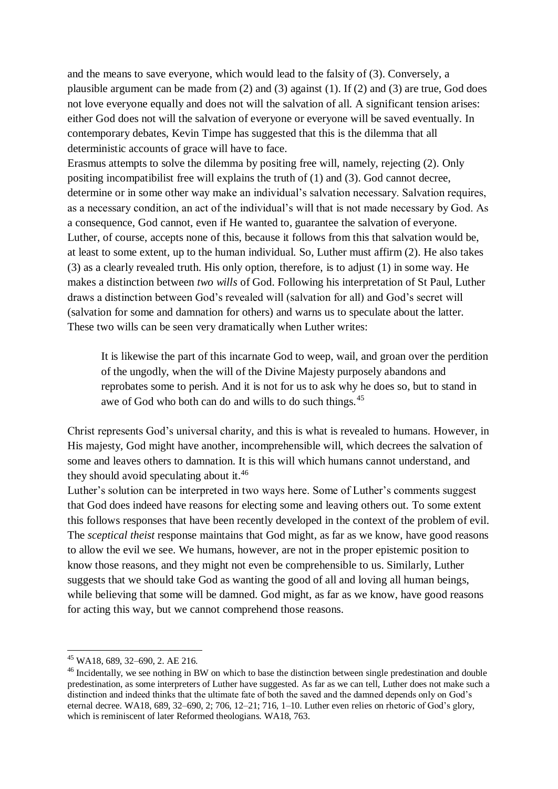and the means to save everyone, which would lead to the falsity of (3). Conversely, a plausible argument can be made from (2) and (3) against (1). If (2) and (3) are true, God does not love everyone equally and does not will the salvation of all. A significant tension arises: either God does not will the salvation of everyone or everyone will be saved eventually. In contemporary debates, Kevin Timpe has suggested that this is the dilemma that all deterministic accounts of grace will have to face.

Erasmus attempts to solve the dilemma by positing free will, namely, rejecting (2). Only positing incompatibilist free will explains the truth of (1) and (3). God cannot decree, determine or in some other way make an individual's salvation necessary. Salvation requires, as a necessary condition, an act of the individual's will that is not made necessary by God. As a consequence, God cannot, even if He wanted to, guarantee the salvation of everyone. Luther, of course, accepts none of this, because it follows from this that salvation would be, at least to some extent, up to the human individual. So, Luther must affirm (2). He also takes (3) as a clearly revealed truth. His only option, therefore, is to adjust (1) in some way. He makes a distinction between *two wills* of God. Following his interpretation of St Paul, Luther draws a distinction between God's revealed will (salvation for all) and God's secret will (salvation for some and damnation for others) and warns us to speculate about the latter. These two wills can be seen very dramatically when Luther writes:

It is likewise the part of this incarnate God to weep, wail, and groan over the perdition of the ungodly, when the will of the Divine Majesty purposely abandons and reprobates some to perish. And it is not for us to ask why he does so, but to stand in awe of God who both can do and wills to do such things.<sup>45</sup>

Christ represents God's universal charity, and this is what is revealed to humans. However, in His majesty, God might have another, incomprehensible will, which decrees the salvation of some and leaves others to damnation. It is this will which humans cannot understand, and they should avoid speculating about it.<sup>46</sup>

Luther's solution can be interpreted in two ways here. Some of Luther's comments suggest that God does indeed have reasons for electing some and leaving others out. To some extent this follows responses that have been recently developed in the context of the problem of evil. The *sceptical theist* response maintains that God might, as far as we know, have good reasons to allow the evil we see. We humans, however, are not in the proper epistemic position to know those reasons, and they might not even be comprehensible to us. Similarly, Luther suggests that we should take God as wanting the good of all and loving all human beings, while believing that some will be damned. God might, as far as we know, have good reasons for acting this way, but we cannot comprehend those reasons.

<sup>45</sup> WA18, 689, 32–690, 2. AE 216.

<sup>&</sup>lt;sup>46</sup> Incidentally, we see nothing in BW on which to base the distinction between single predestination and double predestination, as some interpreters of Luther have suggested. As far as we can tell, Luther does not make such a distinction and indeed thinks that the ultimate fate of both the saved and the damned depends only on God's eternal decree. WA18, 689, 32–690, 2; 706, 12–21; 716, 1–10. Luther even relies on rhetoric of God's glory, which is reminiscent of later Reformed theologians. WA18, 763.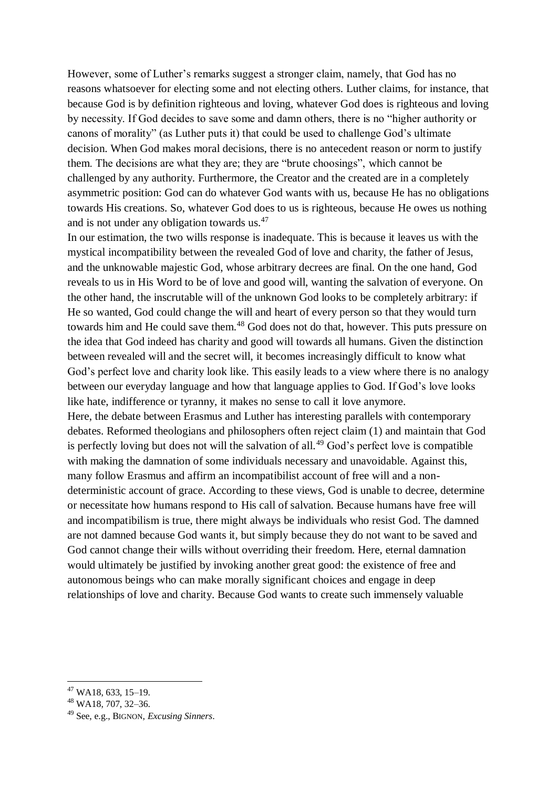However, some of Luther's remarks suggest a stronger claim, namely, that God has no reasons whatsoever for electing some and not electing others. Luther claims, for instance, that because God is by definition righteous and loving, whatever God does is righteous and loving by necessity. If God decides to save some and damn others, there is no "higher authority or canons of morality" (as Luther puts it) that could be used to challenge God's ultimate decision. When God makes moral decisions, there is no antecedent reason or norm to justify them. The decisions are what they are; they are "brute choosings", which cannot be challenged by any authority. Furthermore, the Creator and the created are in a completely asymmetric position: God can do whatever God wants with us, because He has no obligations towards His creations. So, whatever God does to us is righteous, because He owes us nothing and is not under any obligation towards us.<sup>47</sup>

In our estimation, the two wills response is inadequate. This is because it leaves us with the mystical incompatibility between the revealed God of love and charity, the father of Jesus, and the unknowable majestic God, whose arbitrary decrees are final. On the one hand, God reveals to us in His Word to be of love and good will, wanting the salvation of everyone. On the other hand, the inscrutable will of the unknown God looks to be completely arbitrary: if He so wanted, God could change the will and heart of every person so that they would turn towards him and He could save them.<sup>48</sup> God does not do that, however. This puts pressure on the idea that God indeed has charity and good will towards all humans. Given the distinction between revealed will and the secret will, it becomes increasingly difficult to know what God's perfect love and charity look like. This easily leads to a view where there is no analogy between our everyday language and how that language applies to God. If God's love looks like hate, indifference or tyranny, it makes no sense to call it love anymore.

Here, the debate between Erasmus and Luther has interesting parallels with contemporary debates. Reformed theologians and philosophers often reject claim (1) and maintain that God is perfectly loving but does not will the salvation of all.<sup>49</sup> God's perfect love is compatible with making the damnation of some individuals necessary and unavoidable. Against this, many follow Erasmus and affirm an incompatibilist account of free will and a nondeterministic account of grace. According to these views, God is unable to decree, determine or necessitate how humans respond to His call of salvation. Because humans have free will and incompatibilism is true, there might always be individuals who resist God. The damned are not damned because God wants it, but simply because they do not want to be saved and God cannot change their wills without overriding their freedom. Here, eternal damnation would ultimately be justified by invoking another great good: the existence of free and autonomous beings who can make morally significant choices and engage in deep relationships of love and charity. Because God wants to create such immensely valuable

<sup>47</sup> WA18, 633, 15–19.

<sup>48</sup> WA18, 707, 32–36.

<sup>49</sup> See, e.g., BIGNON, *Excusing Sinners*.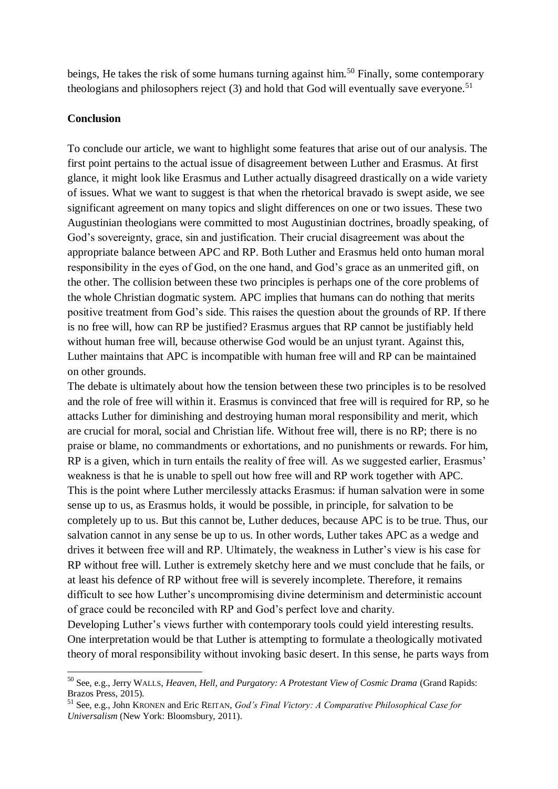beings, He takes the risk of some humans turning against him.<sup>50</sup> Finally, some contemporary theologians and philosophers reject  $(3)$  and hold that God will eventually save everyone.<sup>51</sup>

# **Conclusion**

-

To conclude our article, we want to highlight some features that arise out of our analysis. The first point pertains to the actual issue of disagreement between Luther and Erasmus. At first glance, it might look like Erasmus and Luther actually disagreed drastically on a wide variety of issues. What we want to suggest is that when the rhetorical bravado is swept aside, we see significant agreement on many topics and slight differences on one or two issues. These two Augustinian theologians were committed to most Augustinian doctrines, broadly speaking, of God's sovereignty, grace, sin and justification. Their crucial disagreement was about the appropriate balance between APC and RP. Both Luther and Erasmus held onto human moral responsibility in the eyes of God, on the one hand, and God's grace as an unmerited gift, on the other. The collision between these two principles is perhaps one of the core problems of the whole Christian dogmatic system. APC implies that humans can do nothing that merits positive treatment from God's side. This raises the question about the grounds of RP. If there is no free will, how can RP be justified? Erasmus argues that RP cannot be justifiably held without human free will, because otherwise God would be an unjust tyrant. Against this, Luther maintains that APC is incompatible with human free will and RP can be maintained on other grounds.

The debate is ultimately about how the tension between these two principles is to be resolved and the role of free will within it. Erasmus is convinced that free will is required for RP, so he attacks Luther for diminishing and destroying human moral responsibility and merit, which are crucial for moral, social and Christian life. Without free will, there is no RP; there is no praise or blame, no commandments or exhortations, and no punishments or rewards. For him, RP is a given, which in turn entails the reality of free will. As we suggested earlier, Erasmus' weakness is that he is unable to spell out how free will and RP work together with APC. This is the point where Luther mercilessly attacks Erasmus: if human salvation were in some sense up to us, as Erasmus holds, it would be possible, in principle, for salvation to be completely up to us. But this cannot be, Luther deduces, because APC is to be true. Thus, our salvation cannot in any sense be up to us. In other words, Luther takes APC as a wedge and drives it between free will and RP. Ultimately, the weakness in Luther's view is his case for RP without free will. Luther is extremely sketchy here and we must conclude that he fails, or at least his defence of RP without free will is severely incomplete. Therefore, it remains difficult to see how Luther's uncompromising divine determinism and deterministic account of grace could be reconciled with RP and God's perfect love and charity.

Developing Luther's views further with contemporary tools could yield interesting results. One interpretation would be that Luther is attempting to formulate a theologically motivated theory of moral responsibility without invoking basic desert. In this sense, he parts ways from

<sup>50</sup> See, e.g., Jerry WALLS, *Heaven, Hell, and Purgatory: A Protestant View of Cosmic Drama* (Grand Rapids: Brazos Press, 2015).

<sup>51</sup> See, e.g., John KRONEN and Eric REITAN, *God's Final Victory: A Comparative Philosophical Case for Universalism* (New York: Bloomsbury, 2011).